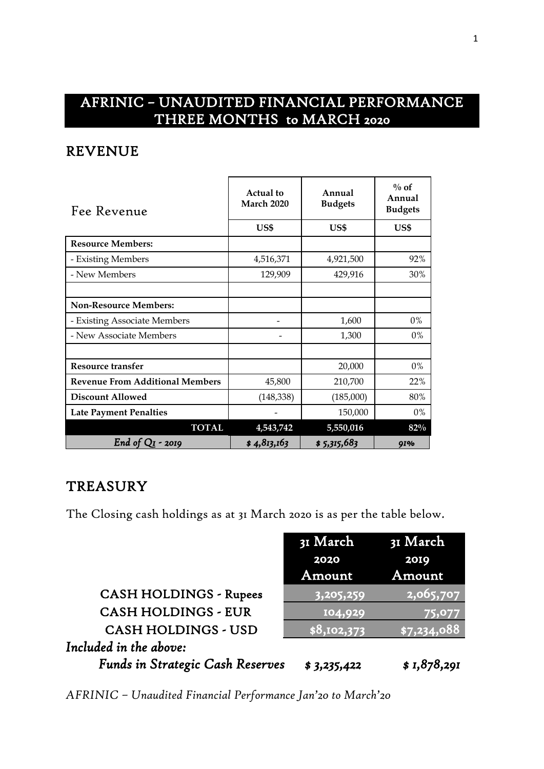# AFRINIC – UNAUDITED FINANCIAL PERFORMANCE THREE MONTHS to MARCH 2020

#### REVENUE

| Fee Revenue                            | <b>Actual</b> to<br><b>March 2020</b> | Annual<br><b>Budgets</b> | $\%$ of<br>Annual<br><b>Budgets</b> |  |
|----------------------------------------|---------------------------------------|--------------------------|-------------------------------------|--|
|                                        | US\$                                  | US\$                     | US\$                                |  |
| <b>Resource Members:</b>               |                                       |                          |                                     |  |
| - Existing Members                     | 4,516,371                             | 4,921,500                | 92%                                 |  |
| - New Members                          | 129,909                               | 429,916                  | 30%                                 |  |
|                                        |                                       |                          |                                     |  |
| <b>Non-Resource Members:</b>           |                                       |                          |                                     |  |
| - Existing Associate Members           |                                       | 1,600                    | 0%                                  |  |
| - New Associate Members                |                                       | 1,300                    | $0\%$                               |  |
|                                        |                                       |                          |                                     |  |
| Resource transfer                      |                                       | 20,000                   | 0%                                  |  |
| <b>Revenue From Additional Members</b> | 45,800                                | 210,700                  | 22%                                 |  |
| <b>Discount Allowed</b>                | (148, 338)                            | (185,000)                | 80%                                 |  |
| <b>Late Payment Penalties</b>          |                                       | 150,000                  | $0\%$                               |  |
| <b>TOTAL</b>                           | 4,543,742                             | 5,550,016                | $82\%$                              |  |
| End of $QI - 20I9$                     | \$4,813,163                           | \$ 5,315,683             | <b>91%</b>                          |  |

### **TREASURY**

The Closing cash holdings as at 31 March 2020 is as per the table below.

|                                         | 31 March    | 31 March                 |
|-----------------------------------------|-------------|--------------------------|
|                                         | 2020        | 2019                     |
|                                         | Amount      | Amount                   |
| <b>CASH HOLDINGS - Rupees</b>           | 3,205,259   | $\overline{12,065,7}$ 07 |
| <b>CASH HOLDINGS - EUR</b>              | 104,929     | 75,077                   |
| <b>CASH HOLDINGS - USD</b>              | \$8,102,373 | \$7,234,088              |
| Included in the above:                  |             |                          |
| <b>Funds in Strategic Cash Reserves</b> | \$3,235,422 | \$1,878,291              |

*AFRINIC – Unaudited Financial Performance Jan'20 to March'20*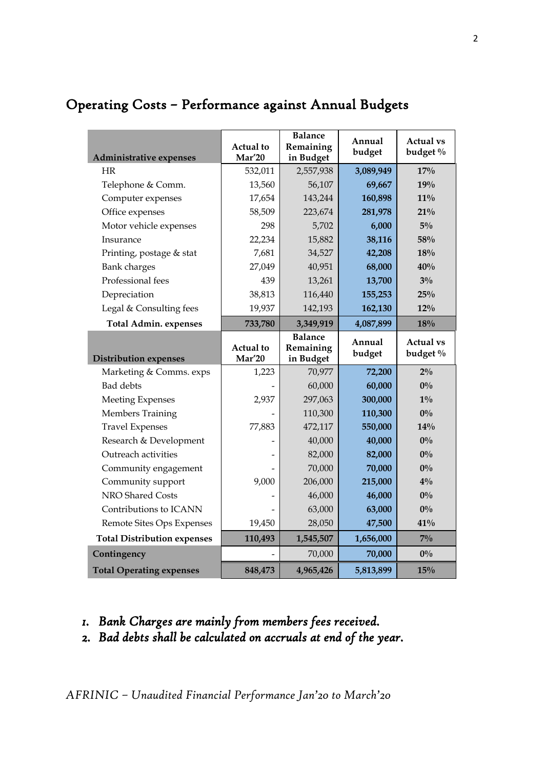| Administrative expenses            | <b>Actual</b> to<br>Mar'20 | <b>Balance</b><br>Remaining<br>in Budget | Annual<br>budget | <b>Actual vs</b><br>budget % |
|------------------------------------|----------------------------|------------------------------------------|------------------|------------------------------|
| <b>HR</b>                          | 532,011                    | 2,557,938                                | 3,089,949        | 17%                          |
| Telephone & Comm.                  | 13,560                     | 56,107                                   | 69,667           | 19%                          |
| Computer expenses                  | 17,654                     | 143,244                                  | 160,898          | $11\%$                       |
| Office expenses                    | 58,509                     | 223,674                                  | 281,978          | 21%                          |
| Motor vehicle expenses             | 298                        | 5,702                                    | 6,000            | $5\%$                        |
| Insurance                          | 22,234                     | 15,882                                   | 38,116           | 58%                          |
| Printing, postage & stat           | 7,681                      | 34,527                                   | 42,208           | 18%                          |
| Bank charges                       | 27,049                     | 40,951                                   | 68,000           | 40%                          |
| Professional fees                  | 439                        | 13,261                                   | 13,700           | $3\%$                        |
| Depreciation                       | 38,813                     | 116,440                                  | 155,253          | 25%                          |
| Legal & Consulting fees            | 19,937                     | 142,193                                  | 162,130          | 12%                          |
| <b>Total Admin. expenses</b>       | 733,780                    | 3,349,919                                | 4,087,899        | 18%                          |
|                                    | <b>Actual</b> to           | <b>Balance</b><br>Remaining              | Annual<br>budget | <b>Actual vs</b><br>budget % |
| <b>Distribution expenses</b>       | Mar'20                     | in Budget                                |                  |                              |
| Marketing & Comms. exps            | 1,223                      | 70,977                                   | 72,200           | $2\%$                        |
| <b>Bad</b> debts                   |                            | 60,000                                   | 60,000           | $0\%$                        |
| <b>Meeting Expenses</b>            | 2,937                      | 297,063                                  | 300,000          | $1\%$                        |
| <b>Members Training</b>            |                            | 110,300                                  | 110,300          | $0\%$                        |
| <b>Travel Expenses</b>             | 77,883                     | 472,117                                  | 550,000          | 14%                          |
| Research & Development             |                            | 40,000                                   | 40,000           | $0\%$                        |
| Outreach activities                |                            | 82,000                                   | 82,000           | $0\%$                        |
| Community engagement               |                            | 70,000                                   | 70,000           | $0\%$                        |
| Community support                  | 9,000                      | 206,000                                  | 215,000          | $4\%$                        |
| NRO Shared Costs                   |                            | 46,000                                   | 46,000           | $0\%$                        |
| Contributions to ICANN             |                            | 63,000                                   | 63,000           | $0\%$                        |
| Remote Sites Ops Expenses          | 19,450                     | 28,050                                   | 47,500           | 41%                          |
| <b>Total Distribution expenses</b> | 110,493                    | 1,545,507                                | 1,656,000        | $7\%$                        |
| Contingency                        |                            | 70,000                                   | 70,000           | $0\%$                        |

## Operating Costs – Performance against Annual Budgets

- *1. Bank Charges are mainly from members fees received.*
- *2. Bad debts shall be calculated on accruals at end of the year.*

*AFRINIC – Unaudited Financial Performance Jan'20 to March'20*